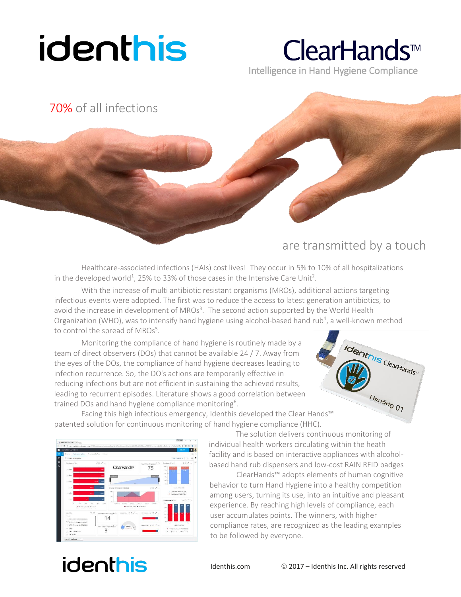# identhis

 $ClearHands <sup>$\mathbb{R}$</sup>$ Intelligence in Hand Hygiene Compliance

ĺ

## 70% of all infections

## are transmitted by a touch

identhis deartands

 $1/\frac{q_{1/2}}{q_{1/2}}$ 

Healthcare-associated infections (HAIs) cost lives! They occur in 5% to 10% of all hospitalizations in the developed world<sup>1</sup>, 25% to 33% of those cases in the Intensive Care Unit<sup>2</sup>.

With the increase of multi antibiotic resistant organisms (MROs), additional actions targeting infectious events were adopted. The first was to reduce the access to latest generation antibiotics, to avoid the increase in development of MROs<sup>3</sup>. The second action supported by the World Health Organization (WHO), was to intensify hand hygiene using alcohol-based hand rub<sup>4</sup>, a well-known method to control the spread of MROs<sup>5</sup>.

Monitoring the compliance of hand hygiene is routinely made by a team of direct observers (DOs) that cannot be available 24 / 7. Away from the eyes of the DOs, the compliance of hand hygiene decreases leading to infection recurrence. So, the DO's actions are temporarily effective in reducing infections but are not efficient in sustaining the achieved results, leading to recurrent episodes. Literature shows a good correlation between trained DOs and hand hygiene compliance monitoring<sup>6</sup>.

Facing this high infectious emergency, Identhis developed the Clear Hands™ patented solution for continuous monitoring of hand hygiene compliance (HHC).



The solution delivers continuous monitoring of individual health workers circulating within the heath facility and is based on interactive appliances with alcoholbased hand rub dispensers and low-cost RAIN RFID badges

ClearHands™ adopts elements of human cognitive behavior to turn Hand Hygiene into a healthy competition among users, turning its use, into an intuitive and pleasant experience. By reaching high levels of compliance, each user accumulates points. The winners, with higher compliance rates, are recognized as the leading examples to be followed by everyone.

## identhis